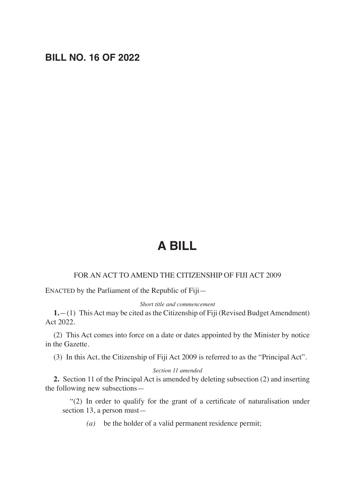## **BILL NO. 16 OF 2022**

# **A BILL**

### FOR AN ACT TO AMEND THE CITIZENSHIP OF FIJI ACT 2009

ENACTED by the Parliament of the Republic of Fiji—

#### *Short title and commencement*

**1.**—(1) This Act may be cited as the Citizenship of Fiji (Revised Budget Amendment) Act 2022.

(2) This Act comes into force on a date or dates appointed by the Minister by notice in the Gazette.

(3) In this Act, the Citizenship of Fiji Act 2009 is referred to as the "Principal Act".

#### *Section 11 amended*

**2.** Section 11 of the Principal Act is amended by deleting subsection (2) and inserting the following new subsections—

 "(2) In order to qualify for the grant of a certificate of naturalisation under section 13, a person must—

*(a)* be the holder of a valid permanent residence permit;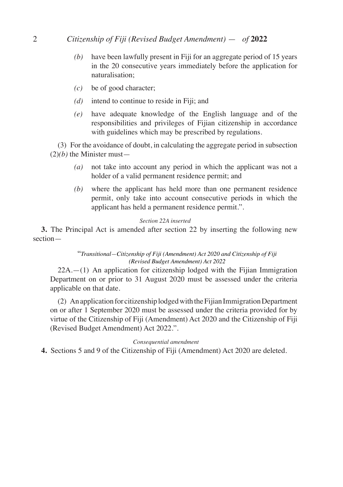## 2 *Citizenship of Fiji (Revised Budget Amendment)* — *of* **2022**

- *(b)* have been lawfully present in Fiji for an aggregate period of 15 years in the 20 consecutive years immediately before the application for naturalisation;
- *(c)* be of good character;
- *(d)* intend to continue to reside in Fiji; and
- *(e)* have adequate knowledge of the English language and of the responsibilities and privileges of Fijian citizenship in accordance with guidelines which may be prescribed by regulations.

(3) For the avoidance of doubt, in calculating the aggregate period in subsection  $(2)(b)$  the Minister must—

- *(a)* not take into account any period in which the applicant was not a holder of a valid permanent residence permit; and
- *(b)* where the applicant has held more than one permanent residence permit, only take into account consecutive periods in which the applicant has held a permanent residence permit.".

#### *Section 22A inserted*

**3.** The Principal Act is amended after section 22 by inserting the following new section—

#### "*Transitional—Citizenship of Fiji (Amendment) Act 2020 and Citizenship of Fiji (Revised Budget Amendment) Act 2022*

 $22A$ .—(1) An application for citizenship lodged with the Fijian Immigration Department on or prior to 31 August 2020 must be assessed under the criteria applicable on that date.

(2) An application for citizenship lodged with the Fijian Immigration Department on or after 1 September 2020 must be assessed under the criteria provided for by virtue of the Citizenship of Fiji (Amendment) Act 2020 and the Citizenship of Fiji (Revised Budget Amendment) Act 2022.".

#### *Consequential amendment*

**4.** Sections 5 and 9 of the Citizenship of Fiji (Amendment) Act 2020 are deleted.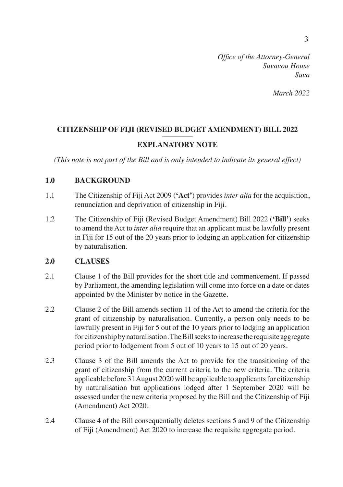*March 2022*

## **CITIZENSHIP OF FIJI (REVISED BUDGET AMENDMENT) BILL 2022** ––––––––

## **EXPLANATORY NOTE**

*(This note is not part of the Bill and is only intended to indicate its general effect)* 

## **1.0 BACKGROUND**

- 1.1 The Citizenship of Fiji Act 2009 (**'Act'**) provides *inter alia* for the acquisition, renunciation and deprivation of citizenship in Fiji.
- 1.2 The Citizenship of Fiji (Revised Budget Amendment) Bill 2022 (**'Bill'**) seeks to amend the Act to *inter alia* require that an applicant must be lawfully present in Fiji for 15 out of the 20 years prior to lodging an application for citizenship by naturalisation.

## **2.0 CLAUSES**

- 2.1 Clause 1 of the Bill provides for the short title and commencement. If passed by Parliament, the amending legislation will come into force on a date or dates appointed by the Minister by notice in the Gazette.
- 2.2 Clause 2 of the Bill amends section 11 of the Act to amend the criteria for the grant of citizenship by naturalisation. Currently, a person only needs to be lawfully present in Fiji for 5 out of the 10 years prior to lodging an application for citizenship by naturalisation. The Bill seeks to increase the requisite aggregate period prior to lodgement from 5 out of 10 years to 15 out of 20 years.
- 2.3 Clause 3 of the Bill amends the Act to provide for the transitioning of the grant of citizenship from the current criteria to the new criteria. The criteria applicable before 31 August 2020 will be applicable to applicants for citizenship by naturalisation but applications lodged after 1 September 2020 will be assessed under the new criteria proposed by the Bill and the Citizenship of Fiji (Amendment) Act 2020.
- 2.4 Clause 4 of the Bill consequentially deletes sections 5 and 9 of the Citizenship of Fiji (Amendment) Act 2020 to increase the requisite aggregate period.